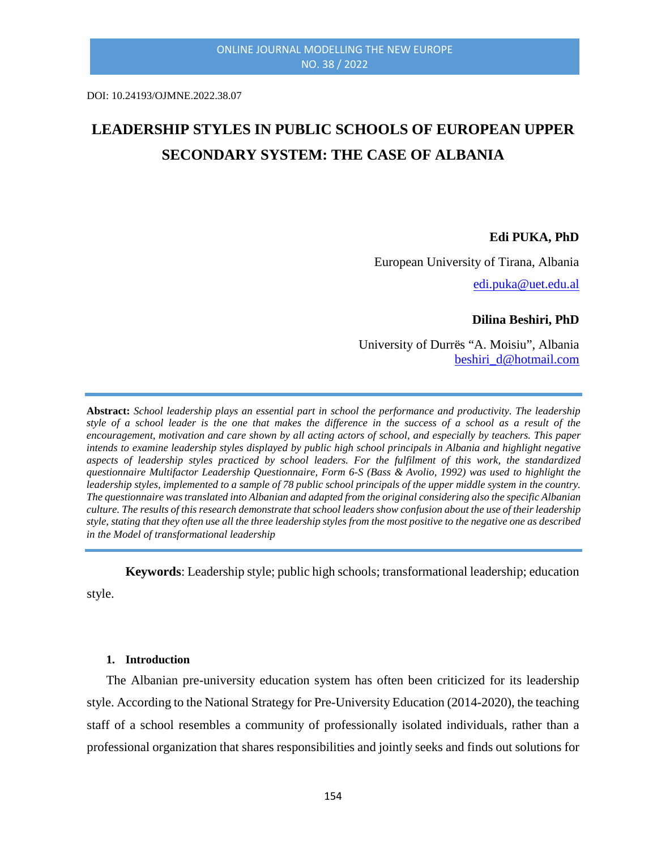DOI: 10.24193/OJMNE.2022.38.07

# **LEADERSHIP STYLES IN PUBLIC SCHOOLS OF EUROPEAN UPPER SECONDARY SYSTEM: THE CASE OF ALBANIA**

#### **Edi PUKA, PhD**

European University of Tirana, Albania [edi.puka@uet.edu.al](mailto:edi.puka@uet.edu.al)

#### **Dilina Beshiri, PhD**

University of Durrës "A. Moisiu", Albania [beshiri\\_d@hotmail.com](mailto:beshiri_d@hotmail.com)

**Abstract:** *School leadership plays an essential part in school the performance and productivity. The leadership style of a school leader is the one that makes the difference in the success of a school as a result of the encouragement, motivation and care shown by all acting actors of school, and especially by teachers. This paper intends to examine leadership styles displayed by public high school principals in Albania and highlight negative aspects of leadership styles practiced by school leaders. For the fulfilment of this work, the standardized questionnaire Multifactor Leadership Questionnaire, Form 6-S (Bass & Avolio, 1992) was used to highlight the leadership styles, implemented to a sample of 78 public school principals of the upper middle system in the country. The questionnaire was translated into Albanian and adapted from the original considering also the specific Albanian culture. The results of this research demonstrate that school leaders show confusion about the use of their leadership style, stating that they often use all the three leadership styles from the most positive to the negative one as described in the Model of transformational leadership*

**Keywords**: Leadership style; public high schools; transformational leadership; education style.

#### **1. Introduction**

The Albanian pre-university education system has often been criticized for its leadership style. According to the National Strategy for Pre-University Education (2014-2020), the teaching staff of a school resembles a community of professionally isolated individuals, rather than a professional organization that shares responsibilities and jointly seeks and finds out solutions for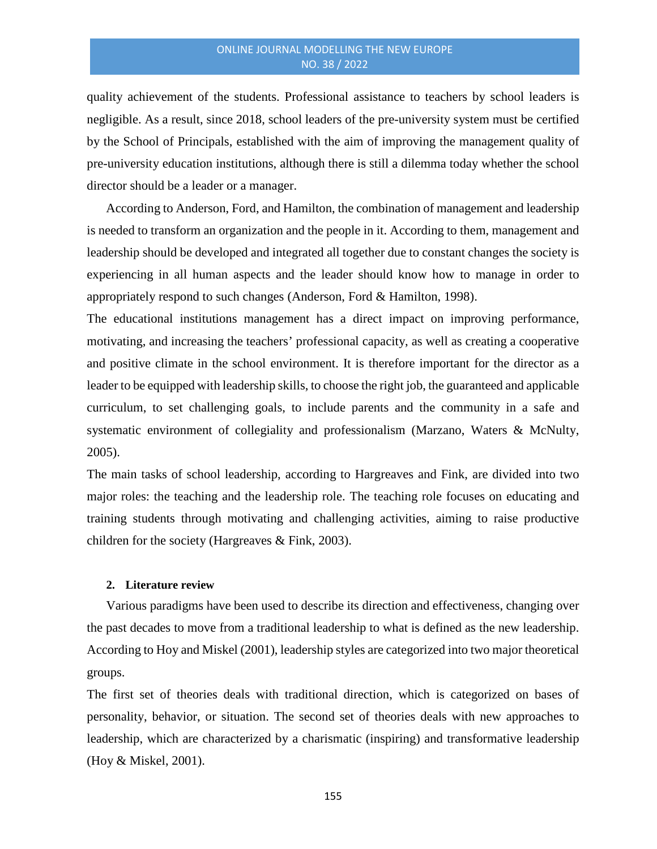## ONLINE JOURNAL MODELLING THE NEW EUROPE NO. 38 / 2022

quality achievement of the students. Professional assistance to teachers by school leaders is negligible. As a result, since 2018, school leaders of the pre-university system must be certified by the School of Principals, established with the aim of improving the management quality of pre-university education institutions, although there is still a dilemma today whether the school director should be a leader or a manager.

According to Anderson, Ford, and Hamilton, the combination of management and leadership is needed to transform an organization and the people in it. According to them, management and leadership should be developed and integrated all together due to constant changes the society is experiencing in all human aspects and the leader should know how to manage in order to appropriately respond to such changes (Anderson, Ford & Hamilton, 1998).

The educational institutions management has a direct impact on improving performance, motivating, and increasing the teachers' professional capacity, as well as creating a cooperative and positive climate in the school environment. It is therefore important for the director as a leader to be equipped with leadership skills, to choose the right job, the guaranteed and applicable curriculum, to set challenging goals, to include parents and the community in a safe and systematic environment of collegiality and professionalism (Marzano, Waters & McNulty, 2005).

The main tasks of school leadership, according to Hargreaves and Fink, are divided into two major roles: the teaching and the leadership role. The teaching role focuses on educating and training students through motivating and challenging activities, aiming to raise productive children for the society (Hargreaves & Fink, 2003).

#### **2. Literature review**

Various paradigms have been used to describe its direction and effectiveness, changing over the past decades to move from a traditional leadership to what is defined as the new leadership. According to Hoy and Miskel (2001), leadership styles are categorized into two major theoretical groups.

The first set of theories deals with traditional direction, which is categorized on bases of personality, behavior, or situation. The second set of theories deals with new approaches to leadership, which are characterized by a charismatic (inspiring) and transformative leadership (Hoy & Miskel, 2001).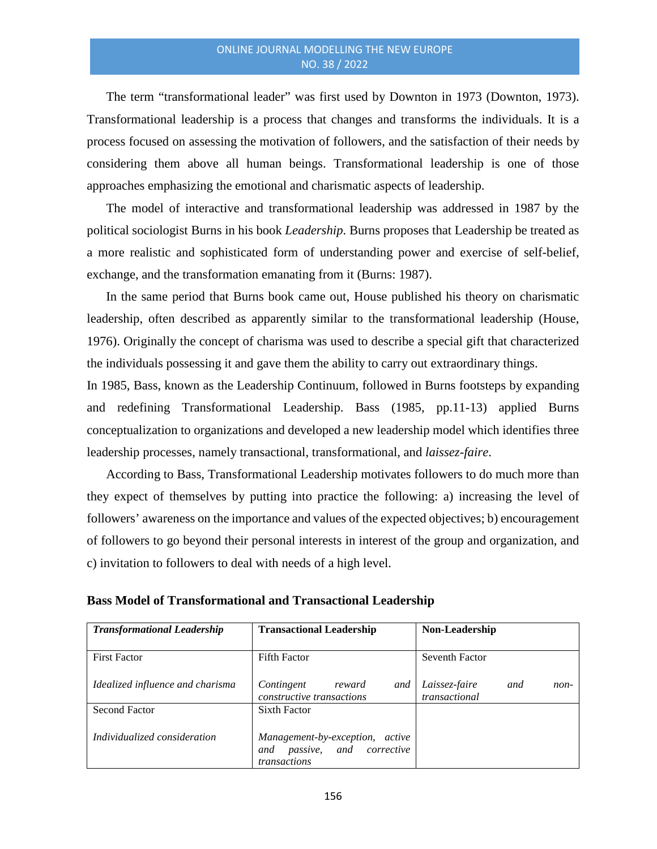The term "transformational leader" was first used by Downton in 1973 (Downton, 1973). Transformational leadership is a process that changes and transforms the individuals. It is a process focused on assessing the motivation of followers, and the satisfaction of their needs by considering them above all human beings. Transformational leadership is one of those approaches emphasizing the emotional and charismatic aspects of leadership.

The model of interactive and transformational leadership was addressed in 1987 by the political sociologist Burns in his book *Leadership*. Burns proposes that Leadership be treated as a more realistic and sophisticated form of understanding power and exercise of self-belief, exchange, and the transformation emanating from it (Burns: 1987).

In the same period that Burns book came out, House published his theory on charismatic leadership, often described as apparently similar to the transformational leadership (House, 1976). Originally the concept of charisma was used to describe a special gift that characterized the individuals possessing it and gave them the ability to carry out extraordinary things.

In 1985, Bass, known as the Leadership Continuum, followed in Burns footsteps by expanding and redefining Transformational Leadership. Bass (1985, pp.11-13) applied Burns conceptualization to organizations and developed a new leadership model which identifies three leadership processes, namely transactional, transformational, and *laissez-faire*.

According to Bass, Transformational Leadership motivates followers to do much more than they expect of themselves by putting into practice the following: a) increasing the level of followers' awareness on the importance and values of the expected objectives; b) encouragement of followers to go beyond their personal interests in interest of the group and organization, and c) invitation to followers to deal with needs of a high level.

| <b>Transformational Leadership</b> | <b>Transactional Leadership</b>                                                   | Non-Leadership                                |  |  |  |
|------------------------------------|-----------------------------------------------------------------------------------|-----------------------------------------------|--|--|--|
| <b>First Factor</b>                | <b>Fifth Factor</b>                                                               | Seventh Factor                                |  |  |  |
| Idealized influence and charisma   | Contingent<br>reward<br>and<br>constructive transactions                          | Laissez-faire<br>and<br>non-<br>transactional |  |  |  |
| Second Factor                      | <b>Sixth Factor</b>                                                               |                                               |  |  |  |
| Individualized consideration       | Management-by-exception, active<br>passive, and corrective<br>and<br>transactions |                                               |  |  |  |

| <b>Bass Model of Transformational and Transactional Leadership</b> |  |
|--------------------------------------------------------------------|--|
|--------------------------------------------------------------------|--|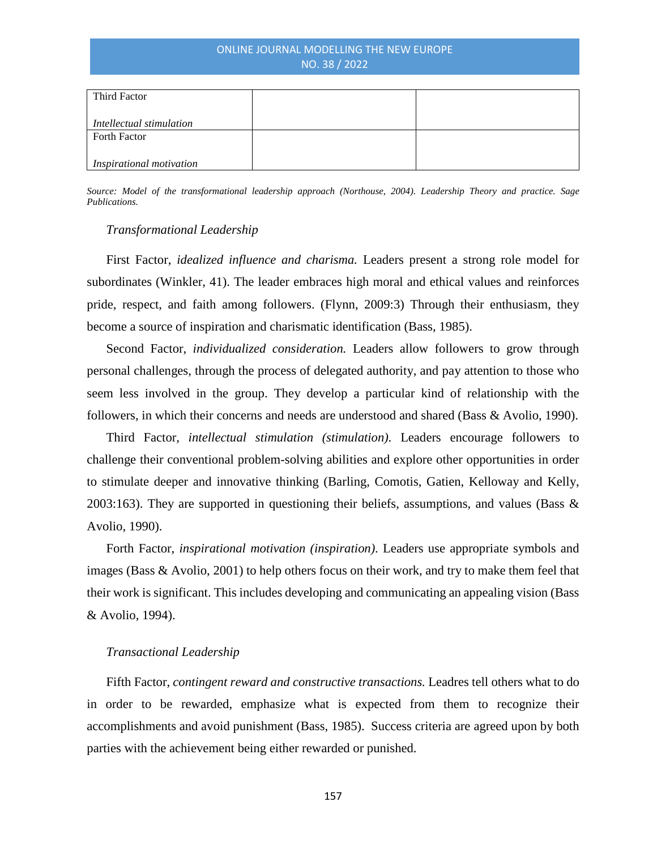# ONLINE JOURNAL MODELLING THE NEW EUROPE NO. 38 / 2022

| Third Factor             |  |
|--------------------------|--|
| Intellectual stimulation |  |
| <b>Forth Factor</b>      |  |
| Inspirational motivation |  |

*Source: Model of the transformational leadership approach (Northouse, 2004). Leadership Theory and practice. Sage Publications.*

## *Transformational Leadership*

First Factor, *idealized influence and charisma.* Leaders present a strong role model for subordinates (Winkler, 41). The leader embraces high moral and ethical values and reinforces pride, respect, and faith among followers. (Flynn, 2009:3) Through their enthusiasm, they become a source of inspiration and charismatic identification (Bass, 1985).

Second Factor, *individualized consideration.* Leaders allow followers to grow through personal challenges, through the process of delegated authority, and pay attention to those who seem less involved in the group. They develop a particular kind of relationship with the followers, in which their concerns and needs are understood and shared (Bass & Avolio, 1990).

Third Factor*, intellectual stimulation (stimulation)*. Leaders encourage followers to challenge their conventional problem-solving abilities and explore other opportunities in order to stimulate deeper and innovative thinking (Barling, Comotis, Gatien, Kelloway and Kelly, 2003:163). They are supported in questioning their beliefs, assumptions, and values (Bass  $\&$ Avolio, 1990).

Forth Factor, *inspirational motivation (inspiration)*. Leaders use appropriate symbols and images (Bass & Avolio, 2001) to help others focus on their work, and try to make them feel that their work is significant. This includes developing and communicating an appealing vision (Bass & Avolio, 1994).

#### *Transactional Leadership*

Fifth Factor, *contingent reward and constructive transactions.* Leadres tell others what to do in order to be rewarded, emphasize what is expected from them to recognize their accomplishments and avoid punishment (Bass, 1985). Success criteria are agreed upon by both parties with the achievement being either rewarded or punished.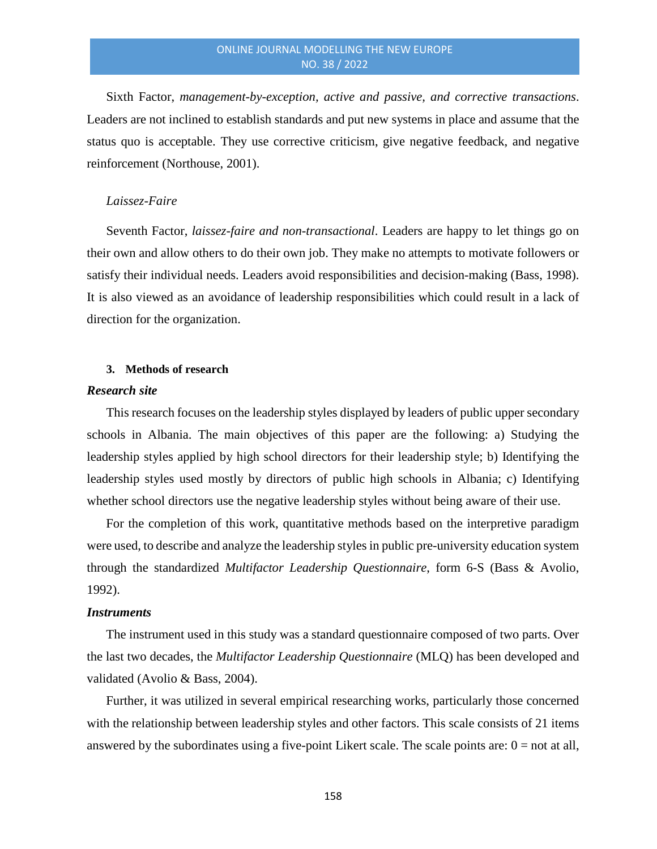Sixth Factor, *management-by-exception, active and passive, and corrective transactions*. Leaders are not inclined to establish standards and put new systems in place and assume that the status quo is acceptable. They use corrective criticism, give negative feedback, and negative reinforcement (Northouse, 2001).

### *Laissez-Faire*

Seventh Factor, *laissez-faire and non-transactional*. Leaders are happy to let things go on their own and allow others to do their own job. They make no attempts to motivate followers or satisfy their individual needs. Leaders avoid responsibilities and decision-making (Bass, 1998). It is also viewed as an avoidance of leadership responsibilities which could result in a lack of direction for the organization.

#### **3. Methods of research**

#### *Research site*

This research focuses on the leadership styles displayed by leaders of public upper secondary schools in Albania. The main objectives of this paper are the following: a) Studying the leadership styles applied by high school directors for their leadership style; b) Identifying the leadership styles used mostly by directors of public high schools in Albania; c) Identifying whether school directors use the negative leadership styles without being aware of their use.

For the completion of this work, quantitative methods based on the interpretive paradigm were used, to describe and analyze the leadership styles in public pre-university education system through the standardized *Multifactor Leadership Questionnaire*, form 6-S (Bass & Avolio, 1992).

#### *Instruments*

The instrument used in this study was a standard questionnaire composed of two parts. Over the last two decades, the *Multifactor Leadership Questionnaire* (MLQ) has been developed and validated (Avolio & Bass, 2004).

Further, it was utilized in several empirical researching works, particularly those concerned with the relationship between leadership styles and other factors. This scale consists of 21 items answered by the subordinates using a five-point Likert scale. The scale points are:  $0 =$  not at all,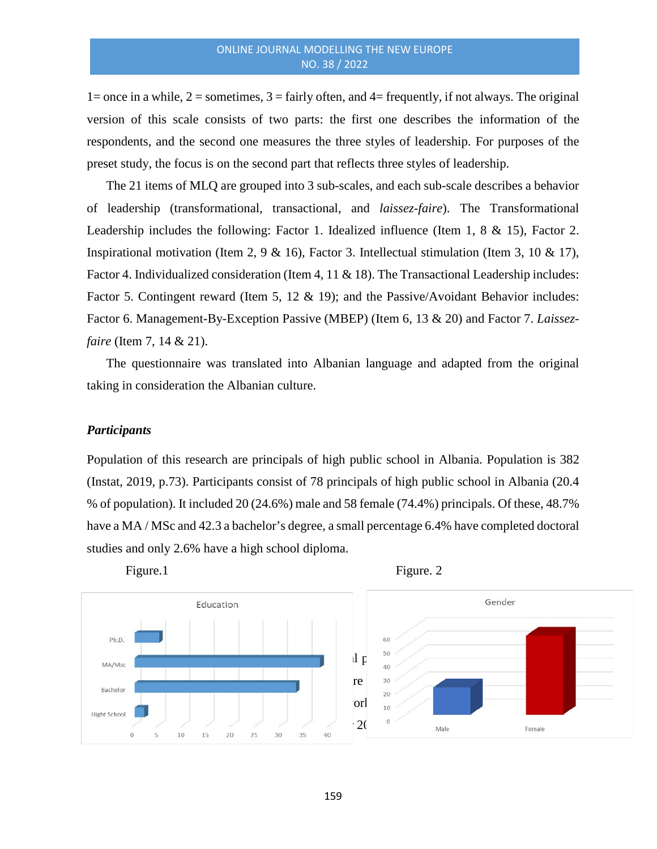1= once in a while,  $2$  = sometimes,  $3$  = fairly often, and  $4$  = frequently, if not always. The original version of this scale consists of two parts: the first one describes the information of the respondents, and the second one measures the three styles of leadership. For purposes of the preset study, the focus is on the second part that reflects three styles of leadership.

The 21 items of MLQ are grouped into 3 sub-scales, and each sub-scale describes a behavior of leadership (transformational, transactional, and *laissez-faire*). The Transformational Leadership includes the following: Factor 1. Idealized influence (Item 1, 8 & 15), Factor 2. Inspirational motivation (Item 2, 9 & 16), Factor 3. Intellectual stimulation (Item 3, 10 & 17), Factor 4. Individualized consideration (Item 4, 11 & 18). The Transactional Leadership includes: Factor 5. Contingent reward (Item 5, 12 & 19); and the Passive/Avoidant Behavior includes: Factor 6. Management-By-Exception Passive (MBEP) (Item 6, 13 & 20) and Factor 7. *Laissezfaire* (Item 7, 14 & 21).

The questionnaire was translated into Albanian language and adapted from the original taking in consideration the Albanian culture.

# *Participants*

Population of this research are principals of high public school in Albania. Population is 382 (Instat, 2019, p.73). Participants consist of 78 principals of high public school in Albania (20.4 % of population). It included 20 (24.6%) male and 58 female (74.4%) principals. Of these, 48.7% have a MA / MSc and 42.3 a bachelor's degree, a small percentage 6.4% have completed doctoral studies and only 2.6% have a high school diploma.



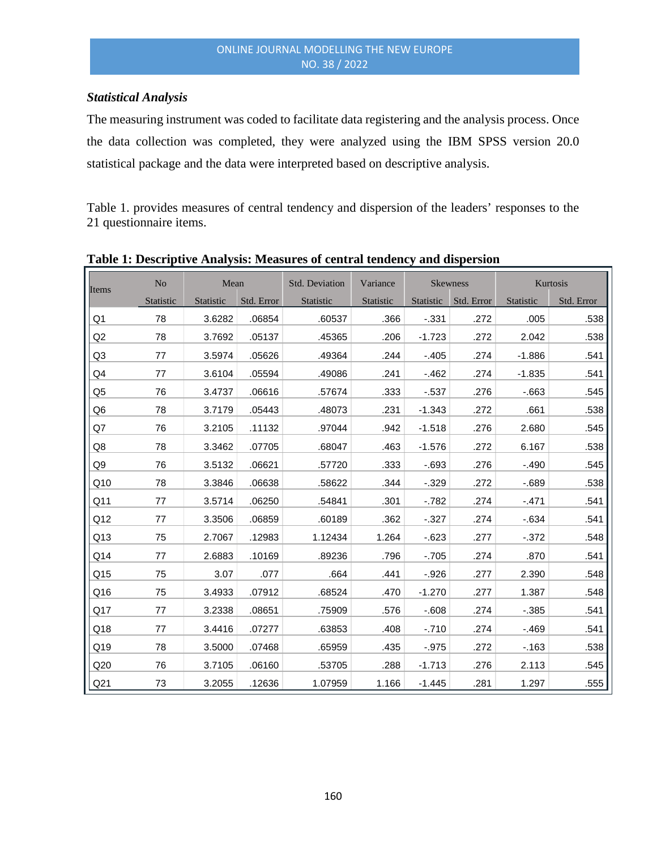# *Statistical Analysis*

The measuring instrument was coded to facilitate data registering and the analysis process. Once the data collection was completed, they were analyzed using the IBM SPSS version 20.0 statistical package and the data were interpreted based on descriptive analysis.

Table 1. provides measures of central tendency and dispersion of the leaders' responses to the 21 questionnaire items.

| Items           | No        | Mean      |            | Std. Deviation | Variance  | <b>Skewness</b> |            |           | Kurtosis   |  |  |
|-----------------|-----------|-----------|------------|----------------|-----------|-----------------|------------|-----------|------------|--|--|
|                 | Statistic | Statistic | Std. Error | Statistic      | Statistic | Statistic       | Std. Error | Statistic | Std. Error |  |  |
| Q <sub>1</sub>  | 78        | 3.6282    | .06854     | .60537         | .366      | $-0.331$        | .272       | .005      | .538       |  |  |
| Q2              | 78        | 3.7692    | .05137     | .45365         | .206      | $-1.723$        | .272       | 2.042     | .538       |  |  |
| Q <sub>3</sub>  | 77        | 3.5974    | .05626     | .49364         | .244      | $-.405$         | .274       | $-1.886$  | .541       |  |  |
| Q4              | 77        | 3.6104    | .05594     | .49086         | .241      | $-462$          | .274       | $-1.835$  | .541       |  |  |
| Q <sub>5</sub>  | 76        | 3.4737    | .06616     | .57674         | .333      | $-0.537$        | .276       | $-0.663$  | .545       |  |  |
| Q <sub>6</sub>  | 78        | 3.7179    | .05443     | .48073         | .231      | $-1.343$        | .272       | .661      | .538       |  |  |
| Q7              | 76        | 3.2105    | .11132     | .97044         | .942      | $-1.518$        | .276       | 2.680     | .545       |  |  |
| Q8              | 78        | 3.3462    | .07705     | .68047         | .463      | $-1.576$        | .272       | 6.167     | .538       |  |  |
| Q9              | 76        | 3.5132    | .06621     | .57720         | .333      | $-0.693$        | .276       | $-.490$   | .545       |  |  |
| Q10             | 78        | 3.3846    | .06638     | .58622         | .344      | $-0.329$        | .272       | $-689$    | .538       |  |  |
| Q11             | 77        | 3.5714    | .06250     | .54841         | .301      | $-782$          | .274       | $-.471$   | .541       |  |  |
| Q12             | 77        | 3.3506    | .06859     | .60189         | .362      | $-0.327$        | .274       | $-634$    | .541       |  |  |
| Q13             | 75        | 2.7067    | .12983     | 1.12434        | 1.264     | $-0.623$        | .277       | $-0.372$  | .548       |  |  |
| Q14             | 77        | 2.6883    | .10169     | .89236         | .796      | $-705$          | .274       | .870      | .541       |  |  |
| Q <sub>15</sub> | 75        | 3.07      | .077       | .664           | .441      | $-.926$         | .277       | 2.390     | .548       |  |  |
| Q16             | 75        | 3.4933    | .07912     | .68524         | .470      | $-1.270$        | .277       | 1.387     | .548       |  |  |
| Q17             | 77        | 3.2338    | .08651     | .75909         | .576      | $-0.608$        | .274       | $-0.385$  | .541       |  |  |
| Q18             | 77        | 3.4416    | .07277     | .63853         | .408      | $-710$          | .274       | $-469$    | .541       |  |  |
| Q19             | 78        | 3.5000    | .07468     | .65959         | .435      | $-0.975$        | .272       | $-163$    | .538       |  |  |
| Q20             | 76        | 3.7105    | .06160     | .53705         | .288      | $-1.713$        | .276       | 2.113     | .545       |  |  |
| Q21             | 73        | 3.2055    | .12636     | 1.07959        | 1.166     | $-1.445$        | .281       | 1.297     | .555       |  |  |

# **Table 1: Descriptive Analysis: Measures of central tendency and dispersion**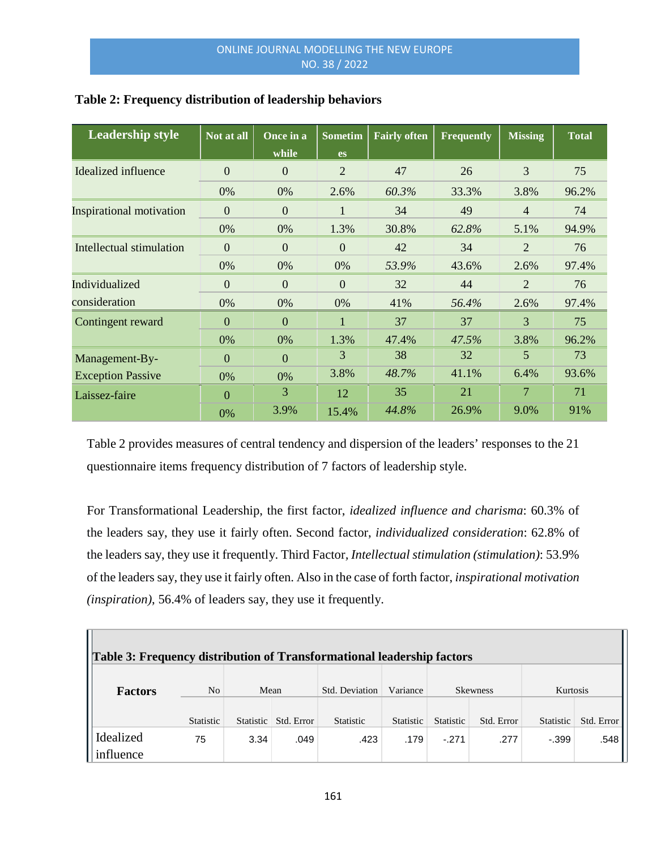| <b>Leadership style</b>         | Not at all     | Once in a<br>while | <b>Sometim</b><br><b>es</b> | <b>Fairly often</b> | <b>Frequently</b> | <b>Missing</b> | <b>Total</b> |
|---------------------------------|----------------|--------------------|-----------------------------|---------------------|-------------------|----------------|--------------|
| Idealized influence             | $\overline{0}$ | $\overline{0}$     | $\overline{2}$              | 47                  | 26                | 3              | 75           |
|                                 | 0%             | 0%                 | 2.6%                        | 60.3%               | 33.3%             | 3.8%           | 96.2%        |
| <b>Inspirational motivation</b> | $\overline{0}$ | $\overline{0}$     | 1                           | 34                  | 49                | $\overline{4}$ | 74           |
|                                 | 0%             | 0%                 | 1.3%                        | 30.8%               | 62.8%             | 5.1%           | 94.9%        |
| Intellectual stimulation        | $\overline{0}$ | $\overline{0}$     | $\overline{0}$              | 42                  | 34                | $\overline{2}$ | 76           |
|                                 | 0%             | 0%                 | $0\%$                       | 53.9%               | 43.6%             | 2.6%           | 97.4%        |
| Individualized                  | $\Omega$       | $\Omega$           | $\Omega$                    | 32                  | 44                | $\overline{2}$ | 76           |
| consideration                   | 0%             | 0%                 | 0%                          | 41%                 | 56.4%             | 2.6%           | 97.4%        |
| Contingent reward               | $\mathbf{0}$   | $\overline{0}$     | 1                           | 37                  | 37                | 3              | 75           |
|                                 | 0%             | 0%                 | 1.3%                        | 47.4%               | 47.5%             | 3.8%           | 96.2%        |
| Management-By-                  | $\Omega$       | $\overline{0}$     | 3                           | 38                  | 32                | 5              | 73           |
| <b>Exception Passive</b>        | 0%             | 0%                 | 3.8%                        | 48.7%               | 41.1%             | 6.4%           | 93.6%        |
| Laissez-faire                   | $\Omega$       | 3                  | 12                          | 35                  | 21                | 7              | 71           |
|                                 | 0%             | 3.9%               | 15.4%                       | 44.8%               | 26.9%             | 9.0%           | 91%          |

# **Table 2: Frequency distribution of leadership behaviors**

Table 2 provides measures of central tendency and dispersion of the leaders' responses to the 21 questionnaire items frequency distribution of 7 factors of leadership style.

For Transformational Leadership, the first factor, *idealized influence and charisma*: 60.3% of the leaders say, they use it fairly often. Second factor, *individualized consideration*: 62.8% of the leaders say, they use it frequently. Third Factor*, Intellectual stimulation (stimulation)*: 53.9% of the leaders say, they use it fairly often. Also in the case of forth factor, *inspirational motivation (inspiration)*, 56.4% of leaders say, they use it frequently.

| Table 3: Frequency distribution of Transformational leadership factors |                  |           |            |                |                  |                 |            |           |            |  |  |
|------------------------------------------------------------------------|------------------|-----------|------------|----------------|------------------|-----------------|------------|-----------|------------|--|--|
| <b>Factors</b>                                                         | No.              | Mean      |            | Std. Deviation | Variance         | <b>Skewness</b> |            | Kurtosis  |            |  |  |
|                                                                        | <b>Statistic</b> | Statistic | Std. Error | Statistic      | <b>Statistic</b> | Statistic       | Std. Error | Statistic | Std. Error |  |  |
| Idealized                                                              | 75               | 3.34      | .049       | .423           | .179             | $-.271$         | .277       | $-.399$   | .548       |  |  |
| influence                                                              |                  |           |            |                |                  |                 |            |           |            |  |  |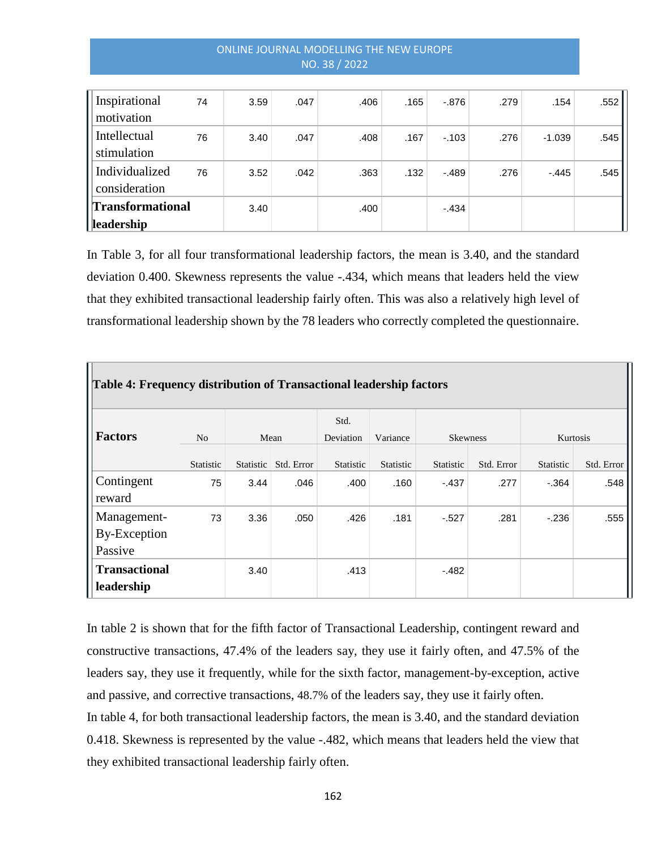# ONLINE JOURNAL MODELLING THE NEW EUROPE NO. 38 / 2022

| Inspirational<br>motivation      | 74 | 3.59 | .047 | .406 | .165 | $-0.876$ | .279 | .154     | .552 |
|----------------------------------|----|------|------|------|------|----------|------|----------|------|
| Intellectual<br>stimulation      | 76 | 3.40 | .047 | .408 | .167 | $-0.103$ | .276 | $-1.039$ | .545 |
| Individualized<br>consideration  | 76 | 3.52 | .042 | .363 | .132 | $-489$   | .276 | $-.445$  | .545 |
| Transformational<br>  leadership |    | 3.40 |      | .400 |      | $-.434$  |      |          |      |

In Table 3, for all four transformational leadership factors, the mean is 3.40, and the standard deviation 0.400. Skewness represents the value -.434, which means that leaders held the view that they exhibited transactional leadership fairly often. This was also a relatively high level of transformational leadership shown by the 78 leaders who correctly completed the questionnaire.

| Table 4: Frequency distribution of Transactional leadership factors |           |           |            |           |                  |                 |            |                  |            |  |  |
|---------------------------------------------------------------------|-----------|-----------|------------|-----------|------------------|-----------------|------------|------------------|------------|--|--|
|                                                                     |           |           |            | Std.      |                  |                 |            |                  |            |  |  |
| <b>Factors</b>                                                      | No        |           | Mean       | Deviation | Variance         | <b>Skewness</b> |            | Kurtosis         |            |  |  |
|                                                                     | Statistic | Statistic | Std. Error | Statistic | <b>Statistic</b> | Statistic       | Std. Error | <b>Statistic</b> | Std. Error |  |  |
| Contingent                                                          | 75        | 3.44      | .046       | .400      | .160             | $-437$          | .277       | $-.364$          | .548       |  |  |
| reward                                                              |           |           |            |           |                  |                 |            |                  |            |  |  |
| Management-                                                         | 73        | 3.36      | .050       | .426      | .181             | $-527$          | .281       | $-236$           | .555       |  |  |
| By-Exception                                                        |           |           |            |           |                  |                 |            |                  |            |  |  |
| Passive                                                             |           |           |            |           |                  |                 |            |                  |            |  |  |
| <b>Transactional</b>                                                |           | 3.40      |            | .413      |                  | $-.482$         |            |                  |            |  |  |
| leadership                                                          |           |           |            |           |                  |                 |            |                  |            |  |  |

In table 2 is shown that for the fifth factor of Transactional Leadership, contingent reward and constructive transactions, 47.4% of the leaders say, they use it fairly often, and 47.5% of the leaders say, they use it frequently, while for the sixth factor, management-by-exception, active and passive, and corrective transactions, 48.7% of the leaders say, they use it fairly often. In table 4, for both transactional leadership factors, the mean is 3.40, and the standard deviation 0.418. Skewness is represented by the value -.482, which means that leaders held the view that they exhibited transactional leadership fairly often.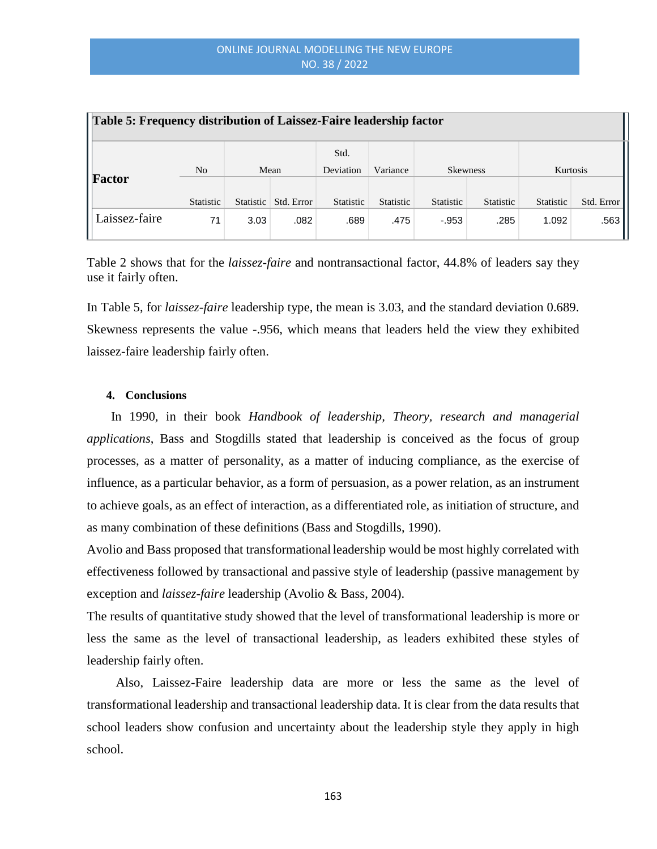| <b>Table 5: Frequency distribution of Laissez-Faire leadership factor</b> |                |      |                      |                   |                  |                  |                  |           |            |  |
|---------------------------------------------------------------------------|----------------|------|----------------------|-------------------|------------------|------------------|------------------|-----------|------------|--|
|                                                                           | N <sub>0</sub> | Mean |                      | Std.<br>Deviation | Variance         | <b>Skewness</b>  |                  | Kurtosis  |            |  |
| Factor                                                                    | Statistic      |      | Statistic Std. Error | <b>Statistic</b>  | <b>Statistic</b> | <b>Statistic</b> | <b>Statistic</b> | Statistic | Std. Error |  |
| Laissez-faire                                                             | 71             | 3.03 | .082                 | .689              | .475             | $-953$           | .285             | 1.092     | .563       |  |

Table 2 shows that for the *laissez-faire* and nontransactional factor, 44.8% of leaders say they use it fairly often.

In Table 5, for *laissez-faire* leadership type, the mean is 3.03, and the standard deviation 0.689. Skewness represents the value -.956, which means that leaders held the view they exhibited laissez-faire leadership fairly often.

#### **4. Conclusions**

In 1990, in their book *Handbook of leadership, Theory, research and managerial applications*, Bass and Stogdills stated that leadership is conceived as the focus of group processes, as a matter of personality, as a matter of inducing compliance, as the exercise of influence, as a particular behavior, as a form of persuasion, as a power relation, as an instrument to achieve goals, as an effect of interaction, as a differentiated role, as initiation of structure, and as many combination of these definitions (Bass and Stogdills, 1990).

Avolio and Bass proposed that transformational leadership would be most highly correlated with effectiveness followed by transactional and passive style of leadership (passive management by exception and *laissez-faire* leadership (Avolio & Bass, 2004).

The results of quantitative study showed that the level of transformational leadership is more or less the same as the level of transactional leadership, as leaders exhibited these styles of leadership fairly often.

Also, Laissez-Faire leadership data are more or less the same as the level of transformational leadership and transactional leadership data. It is clear from the data results that school leaders show confusion and uncertainty about the leadership style they apply in high school.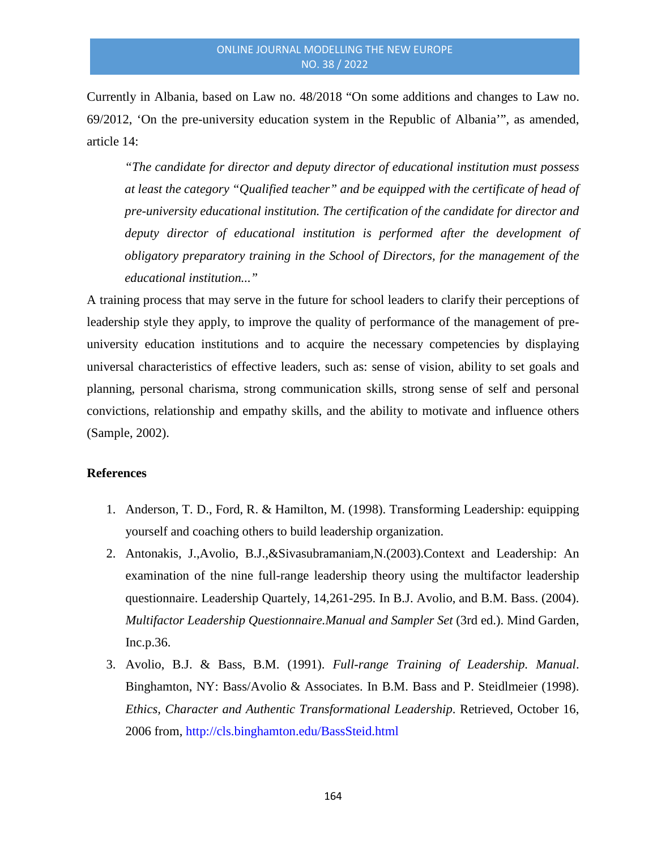Currently in Albania, based on Law no. 48/2018 "On some additions and changes to Law no. 69/2012, 'On the pre-university education system in the Republic of Albania'", as amended, article 14:

*"The candidate for director and deputy director of educational institution must possess at least the category "Qualified teacher" and be equipped with the certificate of head of pre-university educational institution. The certification of the candidate for director and*  deputy director of educational institution is performed after the development of *obligatory preparatory training in the School of Directors, for the management of the educational institution..."*

A training process that may serve in the future for school leaders to clarify their perceptions of leadership style they apply, to improve the quality of performance of the management of preuniversity education institutions and to acquire the necessary competencies by displaying universal characteristics of effective leaders, such as: sense of vision, ability to set goals and planning, personal charisma, strong communication skills, strong sense of self and personal convictions, relationship and empathy skills, and the ability to motivate and influence others (Sample, 2002).

#### **References**

- 1. Anderson, T. D., Ford, R. & Hamilton, M. (1998). Transforming Leadership: equipping yourself and coaching others to build leadership organization.
- 2. Antonakis, J.,Avolio, B.J.,&Sivasubramaniam,N.(2003).Context and Leadership: An examination of the nine full-range leadership theory using the multifactor leadership questionnaire. Leadership Quartely, 14,261-295. In B.J. Avolio, and B.M. Bass. (2004). *Multifactor Leadership Questionnaire.Manual and Sampler Set* (3rd ed.). Mind Garden, Inc.p.36.
- 3. Avolio, B.J. & Bass, B.M. (1991). *Full-range Training of Leadership. Manual*. Binghamton, NY: Bass/Avolio & Associates. In B.M. Bass and P. Steidlmeier (1998). *Ethics, Character and Authentic Transformational Leadership*. Retrieved, October 16, 2006 from, http://cls.binghamton.edu/BassSteid.html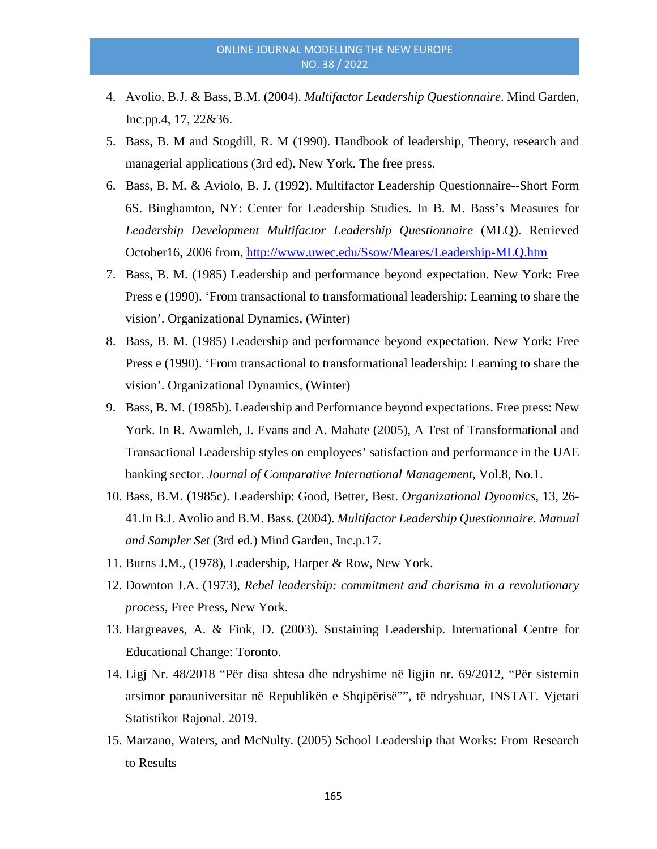- 4. Avolio, B.J. & Bass, B.M. (2004). *Multifactor Leadership Questionnaire*. Mind Garden, Inc.pp.4, 17, 22&36.
- 5. Bass, B. M and Stogdill, R. M (1990). Handbook of leadership, Theory, research and managerial applications (3rd ed). New York. The free press.
- 6. Bass, B. M. & Aviolo, B. J. (1992). Multifactor Leadership Questionnaire--Short Form 6S. Binghamton, NY: Center for Leadership Studies. In B. M. Bass's Measures for *Leadership Development Multifactor Leadership Questionnaire* (MLQ). Retrieved October16, 2006 from,<http://www.uwec.edu/Ssow/Meares/Leadership-MLQ.htm>
- 7. Bass, B. M. (1985) Leadership and performance beyond expectation. New York: Free Press e (1990). 'From transactional to transformational leadership: Learning to share the vision'. Organizational Dynamics, (Winter)
- 8. Bass, B. M. (1985) Leadership and performance beyond expectation. New York: Free Press e (1990). 'From transactional to transformational leadership: Learning to share the vision'. Organizational Dynamics, (Winter)
- 9. Bass, B. M. (1985b). Leadership and Performance beyond expectations. Free press: New York. In R. Awamleh, J. Evans and A. Mahate (2005), A Test of Transformational and Transactional Leadership styles on employees' satisfaction and performance in the UAE banking sector. *Journal of Comparative International Management,* Vol.8, No.1.
- 10. Bass, B.M. (1985c). Leadership: Good, Better, Best. *Organizational Dynamics*, 13, 26- 41.In B.J. Avolio and B.M. Bass. (2004). *Multifactor Leadership Questionnaire. Manual and Sampler Set* (3rd ed.) Mind Garden, Inc.p.17.
- 11. Burns J.M., (1978), Leadership, Harper & Row, New York.
- 12. Downton J.A. (1973), *Rebel leadership: commitment and charisma in a revolutionary process*, Free Press, New York.
- 13. Hargreaves, A. & Fink, D. (2003). Sustaining Leadership. International Centre for Educational Change: Toronto.
- 14. Ligj Nr. 48/2018 "Për disa shtesa dhe ndryshime në ligjin nr. 69/2012, "Për sistemin arsimor parauniversitar në Republikën e Shqipërisë"", të ndryshuar, INSTAT. Vjetari Statistikor Rajonal. 2019.
- 15. Marzano, Waters, and McNulty. (2005) School Leadership that Works: From Research to Results